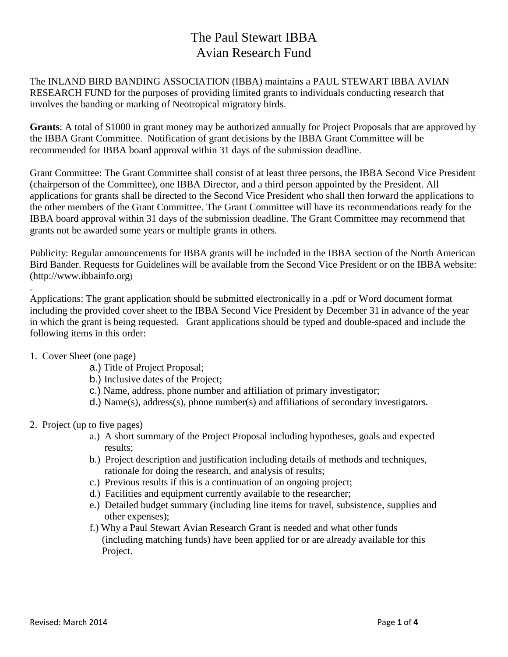# The Paul Stewart IBBA Avian Research Fund

The INLAND BIRD BANDING ASSOCIATION (IBBA) maintains a PAUL STEWART IBBA AVIAN RESEARCH FUND for the purposes of providing limited grants to individuals conducting research that involves the banding or marking of Neotropical migratory birds.

**Grants**: A total of \$1000 in grant money may be authorized annually for Project Proposals that are approved by the IBBA Grant Committee.Notification of grant decisions by the IBBA Grant Committee will be recommended for IBBA board approval within 31 days of the submission deadline.

Grant Committee: The Grant Committee shall consist of at least three persons, the IBBA Second Vice President (chairperson of the Committee), one IBBA Director, and a third person appointed by the President. All applications for grants shall be directed to the Second Vice President who shall then forward the applications to the other members of the Grant Committee. The Grant Committee will have its recommendations ready for the IBBA board approval within 31 days of the submission deadline. The Grant Committee may recommend that grants not be awarded some years or multiple grants in others.

Publicity: Regular announcements for IBBA grants will be included in the IBBA section of the North American Bird Bander. Requests for Guidelines will be available from the Second Vice President or on the IBBA website: (http://www.ibbainfo.org)

Applications: The grant application should be submitted electronically in a .pdf or Word document format including the provided cover sheet to the IBBA Second Vice President by December 31 in advance of the year in which the grant is being requested. Grant applications should be typed and double-spaced and include the following items in this order:

## 1. Cover Sheet (one page)

.

- a.) Title of Project Proposal;
- b.) Inclusive dates of the Project;
- c.) Name, address, phone number and affiliation of primary investigator;
- d.) Name(s), address(s), phone number(s) and affiliations of secondary investigators.

### 2. Project (up to five pages)

- a.) A short summary of the Project Proposal including hypotheses, goals and expected results;
- b.) Project description and justification including details of methods and techniques, rationale for doing the research, and analysis of results;
- c.) Previous results if this is a continuation of an ongoing project;
- d.) Facilities and equipment currently available to the researcher;
- e.) Detailed budget summary (including line items for travel, subsistence, supplies and other expenses);
- f.) Why a Paul Stewart Avian Research Grant is needed and what other funds (including matching funds) have been applied for or are already available for this Project.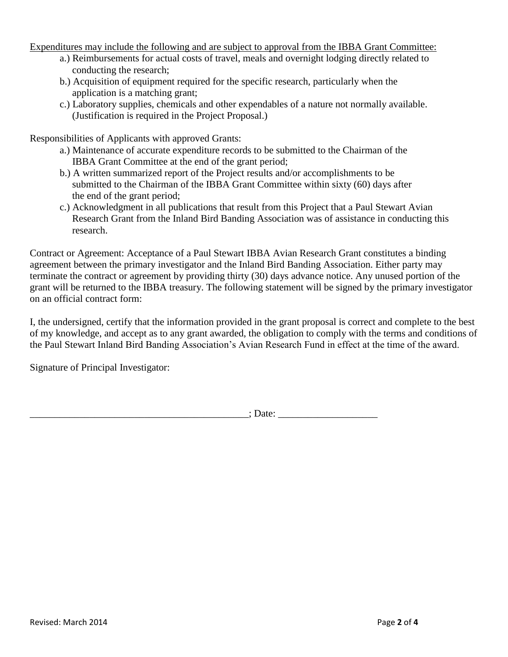Expenditures may include the following and are subject to approval from the IBBA Grant Committee:

- a.) Reimbursements for actual costs of travel, meals and overnight lodging directly related to conducting the research;
- b.) Acquisition of equipment required for the specific research, particularly when the application is a matching grant;
- c.) Laboratory supplies, chemicals and other expendables of a nature not normally available. (Justification is required in the Project Proposal.)

Responsibilities of Applicants with approved Grants:

- a.) Maintenance of accurate expenditure records to be submitted to the Chairman of the IBBA Grant Committee at the end of the grant period;
- b.) A written summarized report of the Project results and/or accomplishments to be submitted to the Chairman of the IBBA Grant Committee within sixty (60) days after the end of the grant period;
- c.) Acknowledgment in all publications that result from this Project that a Paul Stewart Avian Research Grant from the Inland Bird Banding Association was of assistance in conducting this research.

Contract or Agreement: Acceptance of a Paul Stewart IBBA Avian Research Grant constitutes a binding agreement between the primary investigator and the Inland Bird Banding Association. Either party may terminate the contract or agreement by providing thirty (30) days advance notice. Any unused portion of the grant will be returned to the IBBA treasury. The following statement will be signed by the primary investigator on an official contract form:

I, the undersigned, certify that the information provided in the grant proposal is correct and complete to the best of my knowledge, and accept as to any grant awarded, the obligation to comply with the terms and conditions of the Paul Stewart Inland Bird Banding Association's Avian Research Fund in effect at the time of the award.

Signature of Principal Investigator:

\_\_\_\_\_\_\_\_\_\_\_\_\_\_\_\_\_\_\_\_\_\_\_\_\_\_\_\_\_\_\_\_\_\_\_\_\_\_\_\_\_\_\_\_; Date: \_\_\_\_\_\_\_\_\_\_\_\_\_\_\_\_\_\_\_\_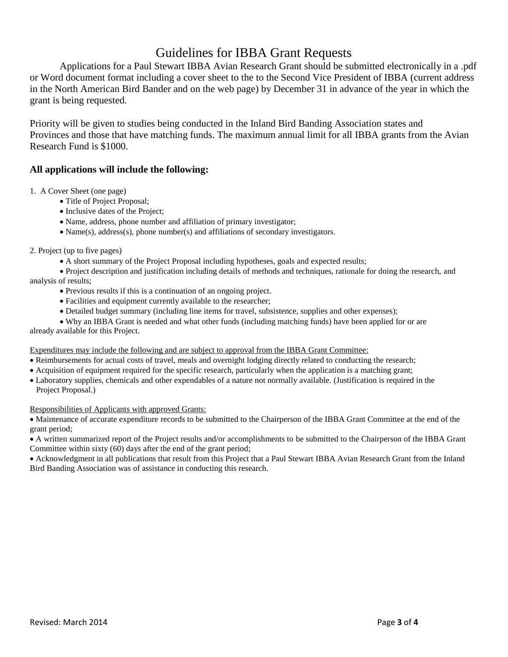# Guidelines for IBBA Grant Requests

Applications for a Paul Stewart IBBA Avian Research Grant should be submitted electronically in a .pdf or Word document format including a cover sheet to the to the Second Vice President of IBBA (current address in the North American Bird Bander and on the web page) by December 31 in advance of the year in which the grant is being requested.

Priority will be given to studies being conducted in the Inland Bird Banding Association states and Provinces and those that have matching funds. The maximum annual limit for all IBBA grants from the Avian Research Fund is \$1000.

### **All applications will include the following:**

1. A Cover Sheet (one page)

- Title of Project Proposal;
- Inclusive dates of the Project;
- Name, address, phone number and affiliation of primary investigator;
- Name(s), address(s), phone number(s) and affiliations of secondary investigators.

#### 2. Project (up to five pages)

A short summary of the Project Proposal including hypotheses, goals and expected results;

 Project description and justification including details of methods and techniques, rationale for doing the research, and analysis of results;

- Previous results if this is a continuation of an ongoing project.
- Facilities and equipment currently available to the researcher;
- Detailed budget summary (including line items for travel, subsistence, supplies and other expenses);
- Why an IBBA Grant is needed and what other funds (including matching funds) have been applied for or are

already available for this Project.

#### Expenditures may include the following and are subject to approval from the IBBA Grant Committee:

- Reimbursements for actual costs of travel, meals and overnight lodging directly related to conducting the research;
- Acquisition of equipment required for the specific research, particularly when the application is a matching grant;
- Laboratory supplies, chemicals and other expendables of a nature not normally available. (Justification is required in the Project Proposal.)

#### Responsibilities of Applicants with approved Grants:

 Maintenance of accurate expenditure records to be submitted to the Chairperson of the IBBA Grant Committee at the end of the grant period;

 A written summarized report of the Project results and/or accomplishments to be submitted to the Chairperson of the IBBA Grant Committee within sixty (60) days after the end of the grant period;

 Acknowledgment in all publications that result from this Project that a Paul Stewart IBBA Avian Research Grant from the Inland Bird Banding Association was of assistance in conducting this research.